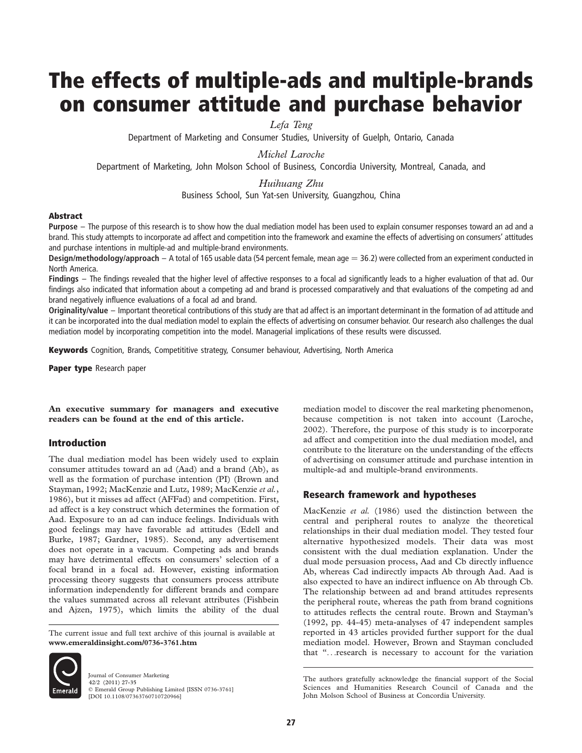# The effects of multiple-ads and multiple-brands on consumer attitude and purchase behavior

Lefa Teng

Department of Marketing and Consumer Studies, University of Guelph, Ontario, Canada

Michel Laroche

Department of Marketing, John Molson School of Business, Concordia University, Montreal, Canada, and

Huihuang Zhu

Business School, Sun Yat-sen University, Guangzhou, China

# Abstract

Purpose – The purpose of this research is to show how the dual mediation model has been used to explain consumer responses toward an ad and a brand. This study attempts to incorporate ad affect and competition into the framework and examine the effects of advertising on consumers' attitudes and purchase intentions in multiple-ad and multiple-brand environments.

Design/methodology/approach - A total of 165 usable data (54 percent female, mean age  $=$  36.2) were collected from an experiment conducted in North America.

Findings – The findings revealed that the higher level of affective responses to a focal ad significantly leads to a higher evaluation of that ad. Our findings also indicated that information about a competing ad and brand is processed comparatively and that evaluations of the competing ad and brand negatively influence evaluations of a focal ad and brand.

Originality/value – Important theoretical contributions of this study are that ad affect is an important determinant in the formation of ad attitude and it can be incorporated into the dual mediation model to explain the effects of advertising on consumer behavior. Our research also challenges the dual mediation model by incorporating competition into the model. Managerial implications of these results were discussed.

Keywords Cognition, Brands, Competititive strategy, Consumer behaviour, Advertising, North America

Paper type Research paper

An executive summary for managers and executive readers can be found at the end of this article.

# Introduction

The dual mediation model has been widely used to explain consumer attitudes toward an ad (Aad) and a brand (Ab), as well as the formation of purchase intention (PI) (Brown and Stayman, 1992; MacKenzie and Lutz, 1989; MacKenzie et al., 1986), but it misses ad affect (AFFad) and competition. First, ad affect is a key construct which determines the formation of Aad. Exposure to an ad can induce feelings. Individuals with good feelings may have favorable ad attitudes (Edell and Burke, 1987; Gardner, 1985). Second, any advertisement does not operate in a vacuum. Competing ads and brands may have detrimental effects on consumers' selection of a focal brand in a focal ad. However, existing information processing theory suggests that consumers process attribute information independently for different brands and compare the values summated across all relevant attributes (Fishbein and Ajzen, 1975), which limits the ability of the dual

The current issue and full text archive of this journal is available at www.emeraldinsight.com/0736-3761.htm



Journal of Consumer Marketing  $©$  Emerald Group Publishing Limited [ISSN 0736-3761] [DOI 10.1108/07363760710720966] 42/2 (2011) 27-35

mediation model to discover the real marketing phenomenon, because competition is not taken into account (Laroche, 2002). Therefore, the purpose of this study is to incorporate ad affect and competition into the dual mediation model, and contribute to the literature on the understanding of the effects of advertising on consumer attitude and purchase intention in multiple-ad and multiple-brand environments.

# Research framework and hypotheses

MacKenzie et al. (1986) used the distinction between the central and peripheral routes to analyze the theoretical relationships in their dual mediation model. They tested four alternative hypothesized models. Their data was most consistent with the dual mediation explanation. Under the dual mode persuasion process, Aad and Cb directly influence Ab, whereas Cad indirectly impacts Ab through Aad. Aad is also expected to have an indirect influence on Ab through Cb. The relationship between ad and brand attitudes represents the peripheral route, whereas the path from brand cognitions to attitudes reflects the central route. Brown and Stayman's (1992, pp. 44-45) meta-analyses of 47 independent samples reported in 43 articles provided further support for the dual mediation model. However, Brown and Stayman concluded that "...research is necessary to account for the variation

The authors gratefully acknowledge the financial support of the Social Sciences and Humanities Research Council of Canada and the John Molson School of Business at Concordia University.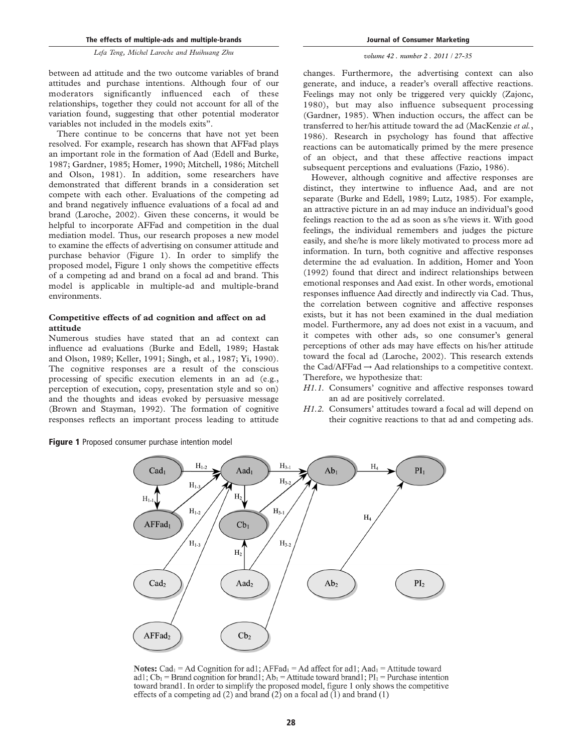between ad attitude and the two outcome variables of brand attitudes and purchase intentions. Although four of our moderators significantly influenced each of these relationships, together they could not account for all of the variation found, suggesting that other potential moderator variables not included in the models exits".

There continue to be concerns that have not yet been resolved. For example, research has shown that AFFad plays an important role in the formation of Aad (Edell and Burke, 1987; Gardner, 1985; Homer, 1990; Mitchell, 1986; Mitchell and Olson, 1981). In addition, some researchers have demonstrated that different brands in a consideration set compete with each other. Evaluations of the competing ad and brand negatively influence evaluations of a focal ad and brand (Laroche, 2002). Given these concerns, it would be helpful to incorporate AFFad and competition in the dual mediation model. Thus, our research proposes a new model to examine the effects of advertising on consumer attitude and purchase behavior (Figure 1). In order to simplify the proposed model, Figure 1 only shows the competitive effects of a competing ad and brand on a focal ad and brand. This model is applicable in multiple-ad and multiple-brand environments.

# Competitive effects of ad cognition and affect on ad attitude

Numerous studies have stated that an ad context can influence ad evaluations (Burke and Edell, 1989; Hastak and Olson, 1989; Keller, 1991; Singh, et al., 1987; Yi, 1990). The cognitive responses are a result of the conscious processing of specific execution elements in an ad (e.g., perception of execution, copy, presentation style and so on) and the thoughts and ideas evoked by persuasive message (Brown and Stayman, 1992). The formation of cognitive responses reflects an important process leading to attitude volume 42 . number 2 . 2011 / 27-35

changes. Furthermore, the advertising context can also generate, and induce, a reader's overall affective reactions. Feelings may not only be triggered very quickly (Zajonc, 1980), but may also influence subsequent processing (Gardner, 1985). When induction occurs, the affect can be transferred to her/his attitude toward the ad (MacKenzie et al., 1986). Research in psychology has found that affective reactions can be automatically primed by the mere presence of an object, and that these affective reactions impact subsequent perceptions and evaluations (Fazio, 1986).

However, although cognitive and affective responses are distinct, they intertwine to influence Aad, and are not separate (Burke and Edell, 1989; Lutz, 1985). For example, an attractive picture in an ad may induce an individual's good feelings reaction to the ad as soon as s/he views it. With good feelings, the individual remembers and judges the picture easily, and she/he is more likely motivated to process more ad information. In turn, both cognitive and affective responses determine the ad evaluation. In addition, Homer and Yoon (1992) found that direct and indirect relationships between emotional responses and Aad exist. In other words, emotional responses influence Aad directly and indirectly via Cad. Thus, the correlation between cognitive and affective responses exists, but it has not been examined in the dual mediation model. Furthermore, any ad does not exist in a vacuum, and it competes with other ads, so one consumer's general perceptions of other ads may have effects on his/her attitude toward the focal ad (Laroche, 2002). This research extends the Cad/AFFad  $\rightarrow$  Aad relationships to a competitive context. Therefore, we hypothesize that:

- H1.1. Consumers' cognitive and affective responses toward an ad are positively correlated.
- H1.2. Consumers' attitudes toward a focal ad will depend on their cognitive reactions to that ad and competing ads.





**Notes:** Cad<sub>1</sub> = Ad Cognition for ad1;  $AFFad_1 = Ad$  affect for ad1;  $Aad_1 = Attitude$  toward ad1;  $Cb_1 = Brand$  cognition for brand1;  $Ab_1 =$  Attitude toward brand1;  $PI_1 =$  Purchase intention toward brand 1. In order to simplify the proposed model, figure 1 only shows the competitive effects of a competing ad  $(2)$  and brand  $(2)$  on a focal ad  $(1)$  and brand  $(1)$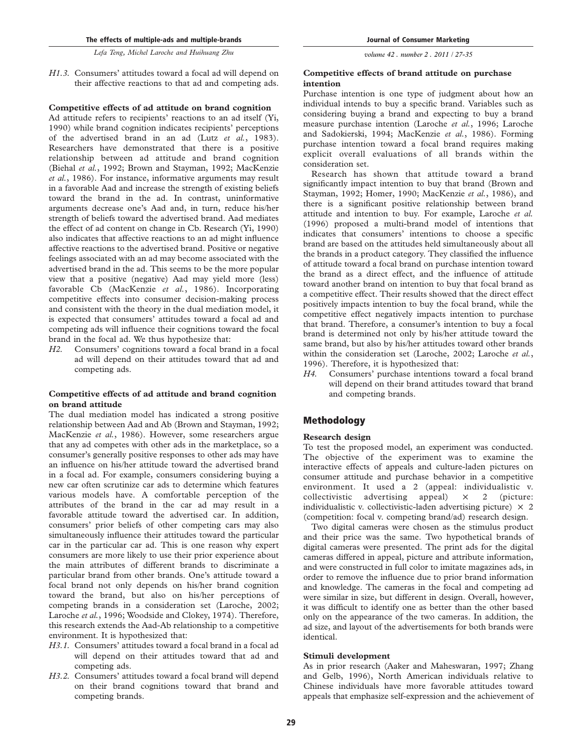H1.3. Consumers' attitudes toward a focal ad will depend on their affective reactions to that ad and competing ads.

#### Competitive effects of ad attitude on brand cognition

Ad attitude refers to recipients' reactions to an ad itself (Yi, 1990) while brand cognition indicates recipients' perceptions of the advertised brand in an ad (Lutz et al., 1983). Researchers have demonstrated that there is a positive relationship between ad attitude and brand cognition (Biehal et al., 1992; Brown and Stayman, 1992; MacKenzie et al., 1986). For instance, informative arguments may result in a favorable Aad and increase the strength of existing beliefs toward the brand in the ad. In contrast, uninformative arguments decrease one's Aad and, in turn, reduce his/her strength of beliefs toward the advertised brand. Aad mediates the effect of ad content on change in Cb. Research (Yi, 1990) also indicates that affective reactions to an ad might influence affective reactions to the advertised brand. Positive or negative feelings associated with an ad may become associated with the advertised brand in the ad. This seems to be the more popular view that a positive (negative) Aad may yield more (less) favorable Cb (MacKenzie et al., 1986). Incorporating competitive effects into consumer decision-making process and consistent with the theory in the dual mediation model, it is expected that consumers' attitudes toward a focal ad and competing ads will influence their cognitions toward the focal brand in the focal ad. We thus hypothesize that:

H2. Consumers' cognitions toward a focal brand in a focal ad will depend on their attitudes toward that ad and competing ads.

# Competitive effects of ad attitude and brand cognition on brand attitude

The dual mediation model has indicated a strong positive relationship between Aad and Ab (Brown and Stayman, 1992; MacKenzie et al., 1986). However, some researchers argue that any ad competes with other ads in the marketplace, so a consumer's generally positive responses to other ads may have an influence on his/her attitude toward the advertised brand in a focal ad. For example, consumers considering buying a new car often scrutinize car ads to determine which features various models have. A comfortable perception of the attributes of the brand in the car ad may result in a favorable attitude toward the advertised car. In addition, consumers' prior beliefs of other competing cars may also simultaneously influence their attitudes toward the particular car in the particular car ad. This is one reason why expert consumers are more likely to use their prior experience about the main attributes of different brands to discriminate a particular brand from other brands. One's attitude toward a focal brand not only depends on his/her brand cognition toward the brand, but also on his/her perceptions of competing brands in a consideration set (Laroche, 2002; Laroche et al., 1996; Woodside and Clokey, 1974). Therefore, this research extends the Aad-Ab relationship to a competitive environment. It is hypothesized that:

- H3.1. Consumers' attitudes toward a focal brand in a focal ad will depend on their attitudes toward that ad and competing ads.
- H3.2. Consumers' attitudes toward a focal brand will depend on their brand cognitions toward that brand and competing brands.

volume 42 . number 2 . 2011 / 27-35

## Competitive effects of brand attitude on purchase intention

Purchase intention is one type of judgment about how an individual intends to buy a specific brand. Variables such as considering buying a brand and expecting to buy a brand measure purchase intention (Laroche et al., 1996; Laroche and Sadokierski, 1994; MacKenzie et al., 1986). Forming purchase intention toward a focal brand requires making explicit overall evaluations of all brands within the consideration set.

Research has shown that attitude toward a brand significantly impact intention to buy that brand (Brown and Stayman, 1992; Homer, 1990; MacKenzie et al., 1986), and there is a significant positive relationship between brand attitude and intention to buy. For example, Laroche et al. (1996) proposed a multi-brand model of intentions that indicates that consumers' intentions to choose a specific brand are based on the attitudes held simultaneously about all the brands in a product category. They classified the influence of attitude toward a focal brand on purchase intention toward the brand as a direct effect, and the influence of attitude toward another brand on intention to buy that focal brand as a competitive effect. Their results showed that the direct effect positively impacts intention to buy the focal brand, while the competitive effect negatively impacts intention to purchase that brand. Therefore, a consumer's intention to buy a focal brand is determined not only by his/her attitude toward the same brand, but also by his/her attitudes toward other brands within the consideration set (Laroche, 2002; Laroche et al., 1996). Therefore, it is hypothesized that:

H4. Consumers' purchase intentions toward a focal brand will depend on their brand attitudes toward that brand and competing brands.

# Methodology

# Research design

To test the proposed model, an experiment was conducted. The objective of the experiment was to examine the interactive effects of appeals and culture-laden pictures on consumer attitude and purchase behavior in a competitive environment. It used a 2 (appeal: individualistic v. collectivistic advertising appeal)  $\times$  2 (picture: collectivistic advertising appeal) individualistic v. collectivistic-laden advertising picture)  $\times$  2 (competition: focal v. competing brand/ad) research design.

Two digital cameras were chosen as the stimulus product and their price was the same. Two hypothetical brands of digital cameras were presented. The print ads for the digital cameras differed in appeal, picture and attribute information, and were constructed in full color to imitate magazines ads, in order to remove the influence due to prior brand information and knowledge. The cameras in the focal and competing ad were similar in size, but different in design. Overall, however, it was difficult to identify one as better than the other based only on the appearance of the two cameras. In addition, the ad size, and layout of the advertisements for both brands were identical.

## Stimuli development

As in prior research (Aaker and Maheswaran, 1997; Zhang and Gelb, 1996), North American individuals relative to Chinese individuals have more favorable attitudes toward appeals that emphasize self-expression and the achievement of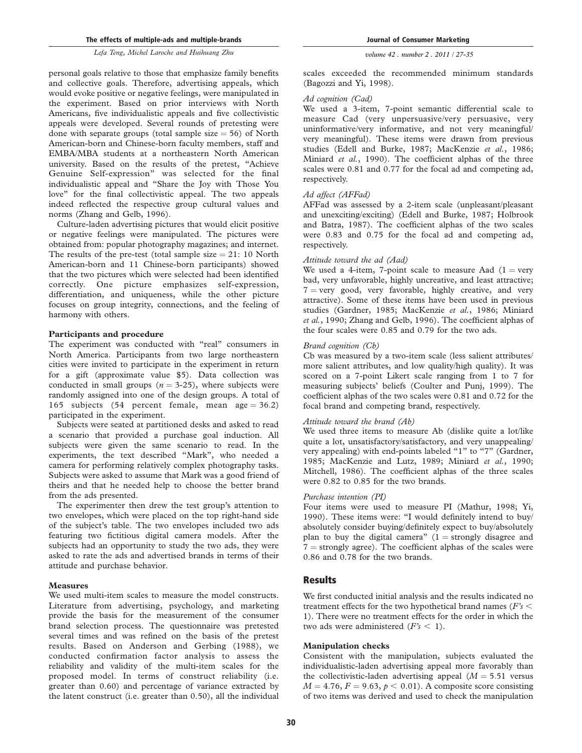personal goals relative to those that emphasize family benefits and collective goals. Therefore, advertising appeals, which would evoke positive or negative feelings, were manipulated in the experiment. Based on prior interviews with North Americans, five individualistic appeals and five collectivistic appeals were developed. Several rounds of pretesting were done with separate groups (total sample size  $= 56$ ) of North American-born and Chinese-born faculty members, staff and EMBA/MBA students at a northeastern North American university. Based on the results of the pretest, "Achieve Genuine Self-expression" was selected for the final individualistic appeal and "Share the Joy with Those You love" for the final collectivistic appeal. The two appeals indeed reflected the respective group cultural values and norms (Zhang and Gelb, 1996).

Culture-laden advertising pictures that would elicit positive or negative feelings were manipulated. The pictures were obtained from: popular photography magazines; and internet. The results of the pre-test (total sample size  $= 21: 10$  North American-born and 11 Chinese-born participants) showed that the two pictures which were selected had been identified correctly. One picture emphasizes self-expression, differentiation, and uniqueness, while the other picture focuses on group integrity, connections, and the feeling of harmony with others.

## Participants and procedure

The experiment was conducted with "real" consumers in North America. Participants from two large northeastern cities were invited to participate in the experiment in return for a gift (approximate value \$5). Data collection was conducted in small groups ( $n = 3-25$ ), where subjects were randomly assigned into one of the design groups. A total of 165 subjects (54 percent female, mean age  $= 36.2$ ) participated in the experiment.

Subjects were seated at partitioned desks and asked to read a scenario that provided a purchase goal induction. All subjects were given the same scenario to read. In the experiments, the text described "Mark", who needed a camera for performing relatively complex photography tasks. Subjects were asked to assume that Mark was a good friend of theirs and that he needed help to choose the better brand from the ads presented.

The experimenter then drew the test group's attention to two envelopes, which were placed on the top right-hand side of the subject's table. The two envelopes included two ads featuring two fictitious digital camera models. After the subjects had an opportunity to study the two ads, they were asked to rate the ads and advertised brands in terms of their attitude and purchase behavior.

## Measures

We used multi-item scales to measure the model constructs. Literature from advertising, psychology, and marketing provide the basis for the measurement of the consumer brand selection process. The questionnaire was pretested several times and was refined on the basis of the pretest results. Based on Anderson and Gerbing (1988), we conducted confirmation factor analysis to assess the reliability and validity of the multi-item scales for the proposed model. In terms of construct reliability (i.e. greater than 0.60) and percentage of variance extracted by the latent construct (i.e. greater than 0.50), all the individual

#### volume 42 . number 2 . 2011 / 27-35

scales exceeded the recommended minimum standards (Bagozzi and Yi, 1998).

#### Ad cognition (Cad)

We used a 3-item, 7-point semantic differential scale to measure Cad (very unpersuasive/very persuasive, very uninformative/very informative, and not very meaningful/ very meaningful). These items were drawn from previous studies (Edell and Burke, 1987; MacKenzie et al., 1986; Miniard et al., 1990). The coefficient alphas of the three scales were 0.81 and 0.77 for the focal ad and competing ad, respectively.

#### Ad affect (AFFad)

AFFad was assessed by a 2-item scale (unpleasant/pleasant and unexciting/exciting) (Edell and Burke, 1987; Holbrook and Batra, 1987). The coefficient alphas of the two scales were 0.83 and 0.75 for the focal ad and competing ad, respectively.

#### Attitude toward the ad (Aad)

We used a 4-item, 7-point scale to measure Aad  $(1 = \text{very }$ bad, very unfavorable, highly uncreative, and least attractive;  $7 = \text{very good}, \text{very favorable}, \text{highly creative}, \text{and very}$ attractive). Some of these items have been used in previous studies (Gardner, 1985; MacKenzie et al., 1986; Miniard et al., 1990; Zhang and Gelb, 1996). The coefficient alphas of the four scales were 0.85 and 0.79 for the two ads.

#### Brand cognition (Cb)

Cb was measured by a two-item scale (less salient attributes/ more salient attributes, and low quality/high quality). It was scored on a 7-point Likert scale ranging from 1 to 7 for measuring subjects' beliefs (Coulter and Punj, 1999). The coefficient alphas of the two scales were 0.81 and 0.72 for the focal brand and competing brand, respectively.

## Attitude toward the brand (Ab)

We used three items to measure Ab (dislike quite a lot/like quite a lot, unsatisfactory/satisfactory, and very unappealing/ very appealing) with end-points labeled "1" to "7" (Gardner, 1985; MacKenzie and Lutz, 1989; Miniard et al., 1990; Mitchell, 1986). The coefficient alphas of the three scales were 0.82 to 0.85 for the two brands.

## Purchase intention (PI)

Four items were used to measure PI (Mathur, 1998; Yi, 1990). These items were: "I would definitely intend to buy/ absolutely consider buying/definitely expect to buy/absolutely plan to buy the digital camera"  $(1 =$  strongly disagree and  $7 =$  strongly agree). The coefficient alphas of the scales were 0.86 and 0.78 for the two brands.

# Results

We first conducted initial analysis and the results indicated no treatment effects for the two hypothetical brand names ( $F's$   $\leq$ 1). There were no treatment effects for the order in which the two ads were administered  $(F<sup>2</sup> < 1)$ .

## Manipulation checks

Consistent with the manipulation, subjects evaluated the individualistic-laden advertising appeal more favorably than the collectivistic-laden advertising appeal  $(M = 5.51$  versus  $M = 4.76$ ,  $F = 9.63$ ,  $p < 0.01$ ). A composite score consisting of two items was derived and used to check the manipulation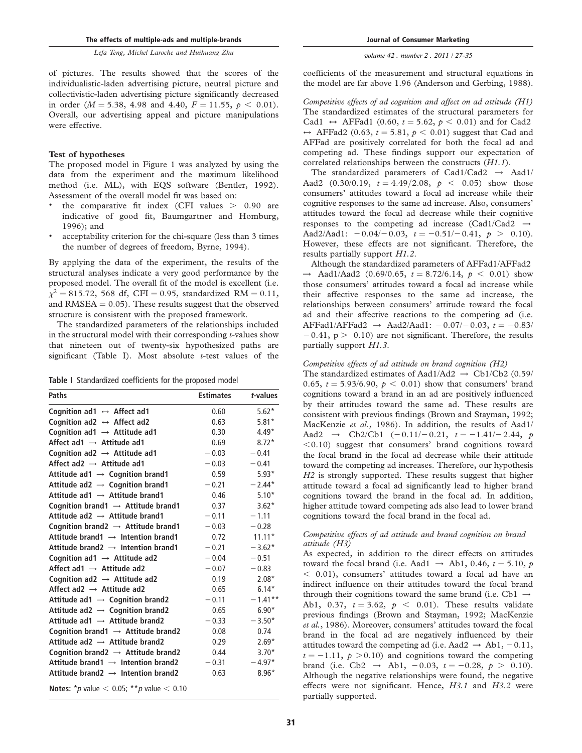volume 42 . number 2 . 2011 / 27-35

of pictures. The results showed that the scores of the individualistic-laden advertising picture, neutral picture and collectivistic-laden advertising picture significantly decreased in order ( $M = 5.38$ , 4.98 and 4.40,  $F = 11.55$ ,  $p < 0.01$ ). Overall, our advertising appeal and picture manipulations were effective.

#### Test of hypotheses

The proposed model in Figure 1 was analyzed by using the data from the experiment and the maximum likelihood method (i.e. ML), with EQS software (Bentler, 1992). Assessment of the overall model fit was based on:

- the comparative fit index (CFI values  $> 0.90$  are indicative of good fit, Baumgartner and Homburg, 1996); and
- . acceptability criterion for the chi-square (less than 3 times the number of degrees of freedom, Byrne, 1994).

By applying the data of the experiment, the results of the structural analyses indicate a very good performance by the proposed model. The overall fit of the model is excellent (i.e.  $\chi^2 = 815.72$ , 568 df, CFI = 0.95, standardized RM = 0.11, and RMSEA  $= 0.05$ ). These results suggest that the observed structure is consistent with the proposed framework.

The standardized parameters of the relationships included in the structural model with their corresponding  $t$ -values show that nineteen out of twenty-six hypothesized paths are significant (Table I). Most absolute  $t$ -test values of the

Table I Standardized coefficients for the proposed model

| Paths                                                    | <b>Estimates</b> | t-values  |
|----------------------------------------------------------|------------------|-----------|
| Cognition ad1 $\leftrightarrow$ Affect ad1               | 0.60             | $5.62*$   |
| Cognition ad2 $\leftrightarrow$ Affect ad2               | 0.63             | $5.81*$   |
| Cognition ad1 $\rightarrow$ Attitude ad1                 | 0.30             | $4.49*$   |
| Affect ad1 $\rightarrow$ Attitude ad1                    | 0.69             | $8.72*$   |
| Cognition ad2 $\rightarrow$ Attitude ad1                 | $-0.03$          | $-0.41$   |
| Affect ad2 $\rightarrow$ Attitude ad1                    | $-0.03$          | $-0.41$   |
| Attitude ad1 $\rightarrow$ Cognition brand1              | 0.59             | $5.93*$   |
| Attitude ad2 $\rightarrow$ Cognition brand1              | $-0.21$          | $-2.44*$  |
| Attitude ad1 $\rightarrow$ Attitude brand1               | 0.46             | $5.10*$   |
| Cognition brand $1 \rightarrow$ Attitude brand 1         | 0.37             | $3.62*$   |
| Attitude ad $2 \rightarrow$ Attitude brand1              | $-0.11$          | $-1.11$   |
| Cognition brand2 $\rightarrow$ Attitude brand1           | $-0.03$          | $-0.28$   |
| Attitude brand1 $\rightarrow$ Intention brand1           | 0.72             | $11.11*$  |
| Attitude brand2 $\rightarrow$ Intention brand1           | $-0.21$          | $-3.62*$  |
| Cognition ad1 $\rightarrow$ Attitude ad2                 | $-0.04$          | $-0.51$   |
| Affect ad1 $\rightarrow$ Attitude ad2                    | $-0.07$          | $-0.83$   |
| Cognition ad2 $\rightarrow$ Attitude ad2                 | 0.19             | $2.08*$   |
| Affect ad $2 \rightarrow$ Attitude ad 2                  | 0.65             | $6.14*$   |
| Attitude ad1 $\rightarrow$ Cognition brand2              | $-0.11$          | $-1.41**$ |
| Attitude ad2 $\rightarrow$ Cognition brand2              | 0.65             | $6.90*$   |
| Attitude ad1 $\rightarrow$ Attitude brand2               | $-0.33$          | $-3.50*$  |
| Cognition brand1 $\rightarrow$ Attitude brand2           | 0.08             | 0.74      |
| Attitude ad2 $\rightarrow$ Attitude brand2               | 0.29             | $2.69*$   |
| Cognition brand2 $\rightarrow$ Attitude brand2           | 0.44             | $3.70*$   |
| Attitude brand $1 \rightarrow$ Intention brand 2         | $-0.31$          | $-4.97*$  |
| Attitude brand2 $\rightarrow$ Intention brand2           | 0.63             | $8.96*$   |
| <b>Notes:</b> $*_{p}$ value < 0.05; $*_{p}$ value < 0.10 |                  |           |

coefficients of the measurement and structural equations in the model are far above 1.96 (Anderson and Gerbing, 1988).

Competitive effects of ad cognition and affect on ad attitude (H1) The standardized estimates of the structural parameters for Cad1  $\leftrightarrow$  AFFad1 (0.60,  $t = 5.62$ ,  $p < 0.01$ ) and for Cad2  $\leftrightarrow$  AFFad2 (0.63,  $t = 5.81$ ,  $p < 0.01$ ) suggest that Cad and AFFad are positively correlated for both the focal ad and competing ad. These findings support our expectation of correlated relationships between the constructs (H1.1).

The standardized parameters of Cad1/Cad2  $\rightarrow$  Aad1/ Aad2 (0.30/0.19,  $t = 4.49/2.08$ ,  $p < 0.05$ ) show those consumers' attitudes toward a focal ad increase while their cognitive responses to the same ad increase. Also, consumers' attitudes toward the focal ad decrease while their cognitive responses to the competing ad increase (Cad1/Cad2  $\rightarrow$ Aad2/Aad1:  $-0.04/-0.03$ ,  $t = -0.51/-0.41$ ,  $p > 0.10$ ). However, these effects are not significant. Therefore, the results partially support H1.2.

Although the standardized parameters of AFFad1/AFFad2  $\rightarrow$  Aad1/Aad2 (0.69/0.65,  $t = 8.72/6.14$ ,  $p < 0.01$ ) show those consumers' attitudes toward a focal ad increase while their affective responses to the same ad increase, the relationships between consumers' attitude toward the focal ad and their affective reactions to the competing ad (i.e.  $AFFad1/AFFad2 \rightarrow \text{Aad2/Aad1: } -0.07/-0.03, t = -0.83/$  $-0.41$ , p  $> 0.10$ ) are not significant. Therefore, the results partially support H1.3.

# Competitive effects of ad attitude on brand cognition (H2)

The standardized estimates of Aad1/Ad2  $\rightarrow$  Cb1/Cb2 (0.59/ 0.65,  $t = 5.93/6.90$ ,  $p < 0.01$ ) show that consumers' brand cognitions toward a brand in an ad are positively influenced by their attitudes toward the same ad. These results are consistent with previous findings (Brown and Stayman, 1992; MacKenzie et al., 1986). In addition, the results of Aad1/ Aad2  $\rightarrow$  Cb2/Cb1 (-0.11/-0.21,  $t = -1.41/-2.44$ , p  $<$  0.10) suggest that consumers' brand cognitions toward the focal brand in the focal ad decrease while their attitude toward the competing ad increases. Therefore, our hypothesis H2 is strongly supported. These results suggest that higher attitude toward a focal ad significantly lead to higher brand cognitions toward the brand in the focal ad. In addition, higher attitude toward competing ads also lead to lower brand cognitions toward the focal brand in the focal ad.

## Competitive effects of ad attitude and brand cognition on brand attitude (H3)

As expected, in addition to the direct effects on attitudes toward the focal brand (i.e. Aad1  $\rightarrow$  Ab1, 0.46,  $t = 5.10$ , p  $<$  0.01), consumers' attitudes toward a focal ad have an indirect influence on their attitudes toward the focal brand through their cognitions toward the same brand (i.e. Cb1  $\rightarrow$ Ab1, 0.37,  $t = 3.62$ ,  $p < 0.01$ ). These results validate previous findings (Brown and Stayman, 1992; MacKenzie et al., 1986). Moreover, consumers' attitudes toward the focal brand in the focal ad are negatively influenced by their attitudes toward the competing ad (i.e. Aad2  $\rightarrow$  Ab1, -0.11,  $t = -1.11$ ,  $p > 0.10$  and cognitions toward the competing brand (i.e.  $Cb2 \rightarrow Ab1, -0.03, t = -0.28, p > 0.10$ ). Although the negative relationships were found, the negative effects were not significant. Hence, H3.1 and H3.2 were partially supported.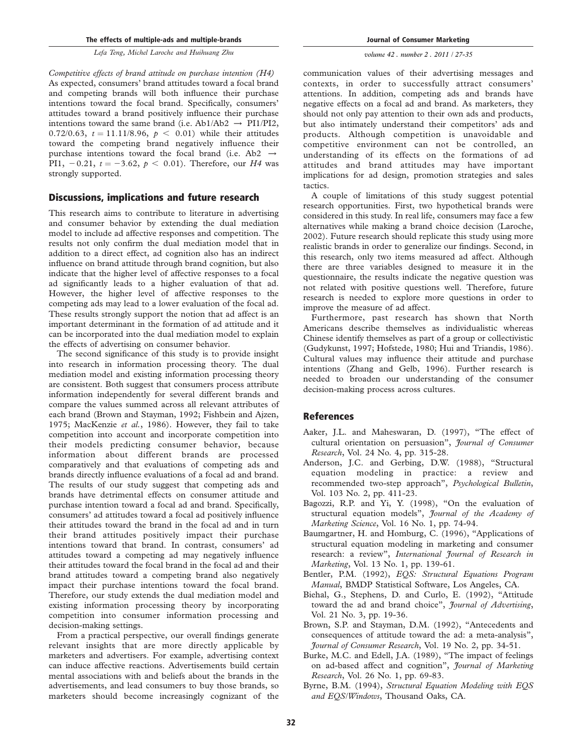Competitive effects of brand attitude on purchase intention (H4) As expected, consumers' brand attitudes toward a focal brand and competing brands will both influence their purchase intentions toward the focal brand. Specifically, consumers' attitudes toward a brand positively influence their purchase intentions toward the same brand (i.e.  $Ab1/Ab2 \rightarrow PI1/PI2$ , 0.72/0.63,  $t = 11.11/8.96$ ,  $p < 0.01$ ) while their attitudes toward the competing brand negatively influence their purchase intentions toward the focal brand (i.e. Ab2  $\rightarrow$ PI1,  $-0.21$ ,  $t = -3.62$ ,  $p < 0.01$ ). Therefore, our H4 was strongly supported.

# Discussions, implications and future research

This research aims to contribute to literature in advertising and consumer behavior by extending the dual mediation model to include ad affective responses and competition. The results not only confirm the dual mediation model that in addition to a direct effect, ad cognition also has an indirect influence on brand attitude through brand cognition, but also indicate that the higher level of affective responses to a focal ad significantly leads to a higher evaluation of that ad. However, the higher level of affective responses to the competing ads may lead to a lower evaluation of the focal ad. These results strongly support the notion that ad affect is an important determinant in the formation of ad attitude and it can be incorporated into the dual mediation model to explain the effects of advertising on consumer behavior.

The second significance of this study is to provide insight into research in information processing theory. The dual mediation model and existing information processing theory are consistent. Both suggest that consumers process attribute information independently for several different brands and compare the values summed across all relevant attributes of each brand (Brown and Stayman, 1992; Fishbein and Ajzen, 1975; MacKenzie et al., 1986). However, they fail to take competition into account and incorporate competition into their models predicting consumer behavior, because information about different brands are processed comparatively and that evaluations of competing ads and brands directly influence evaluations of a focal ad and brand. The results of our study suggest that competing ads and brands have detrimental effects on consumer attitude and purchase intention toward a focal ad and brand. Specifically, consumers' ad attitudes toward a focal ad positively influence their attitudes toward the brand in the focal ad and in turn their brand attitudes positively impact their purchase intentions toward that brand. In contrast, consumers' ad attitudes toward a competing ad may negatively influence their attitudes toward the focal brand in the focal ad and their brand attitudes toward a competing brand also negatively impact their purchase intentions toward the focal brand. Therefore, our study extends the dual mediation model and existing information processing theory by incorporating competition into consumer information processing and decision-making settings.

From a practical perspective, our overall findings generate relevant insights that are more directly applicable by marketers and advertisers. For example, advertising context can induce affective reactions. Advertisements build certain mental associations with and beliefs about the brands in the advertisements, and lead consumers to buy those brands, so marketers should become increasingly cognizant of the

#### volume 42 . number 2 . 2011 / 27-35

communication values of their advertising messages and contexts, in order to successfully attract consumers' attentions. In addition, competing ads and brands have negative effects on a focal ad and brand. As marketers, they should not only pay attention to their own ads and products, but also intimately understand their competitors' ads and products. Although competition is unavoidable and competitive environment can not be controlled, an understanding of its effects on the formations of ad attitudes and brand attitudes may have important implications for ad design, promotion strategies and sales tactics.

A couple of limitations of this study suggest potential research opportunities. First, two hypothetical brands were considered in this study. In real life, consumers may face a few alternatives while making a brand choice decision (Laroche, 2002). Future research should replicate this study using more realistic brands in order to generalize our findings. Second, in this research, only two items measured ad affect. Although there are three variables designed to measure it in the questionnaire, the results indicate the negative question was not related with positive questions well. Therefore, future research is needed to explore more questions in order to improve the measure of ad affect.

Furthermore, past research has shown that North Americans describe themselves as individualistic whereas Chinese identify themselves as part of a group or collectivistic (Gudykunst, 1997; Hofstede, 1980; Hui and Triandis, 1986). Cultural values may influence their attitude and purchase intentions (Zhang and Gelb, 1996). Further research is needed to broaden our understanding of the consumer decision-making process across cultures.

# References

- Aaker, J.L. and Maheswaran, D. (1997), "The effect of cultural orientation on persuasion", Journal of Consumer Research, Vol. 24 No. 4, pp. 315-28.
- Anderson, J.C. and Gerbing, D.W. (1988), "Structural equation modeling in practice: a review and recommended two-step approach", Psychological Bulletin, Vol. 103 No. 2, pp. 411-23.
- Bagozzi, R.P. and Yi, Y. (1998), "On the evaluation of structural equation models", Journal of the Academy of Marketing Science, Vol. 16 No. 1, pp. 74-94.
- Baumgartner, H. and Homburg, C. (1996), "Applications of structural equation modeling in marketing and consumer research: a review", International Journal of Research in Marketing, Vol. 13 No. 1, pp. 139-61.
- Bentler, P.M. (1992), EQS: Structural Equations Program Manual, BMDP Statistical Software, Los Angeles, CA.
- Biehal, G., Stephens, D. and Curlo, E. (1992), "Attitude toward the ad and brand choice", *Journal of Advertising*, Vol. 21 No. 3, pp. 19-36.
- Brown, S.P. and Stayman, D.M. (1992), "Antecedents and consequences of attitude toward the ad: a meta-analysis", Journal of Consumer Research, Vol. 19 No. 2, pp. 34-51.
- Burke, M.C. and Edell, J.A. (1989), "The impact of feelings on ad-based affect and cognition", Journal of Marketing Research, Vol. 26 No. 1, pp. 69-83.
- Byrne, B.M. (1994), Structural Equation Modeling with EQS and EQS/Windows, Thousand Oaks, CA.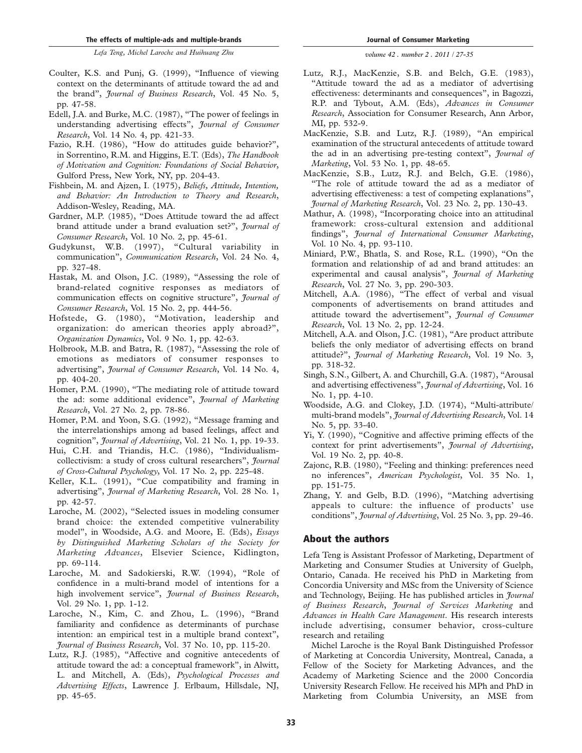- Coulter, K.S. and Punj, G. (1999), "Influence of viewing context on the determinants of attitude toward the ad and the brand", Journal of Business Research, Vol. 45 No. 5, pp. 47-58.
- Edell, J.A. and Burke, M.C. (1987), "The power of feelings in understanding advertising effects", Journal of Consumer Research, Vol. 14 No. 4, pp. 421-33.
- Fazio, R.H. (1986), "How do attitudes guide behavior?", in Sorrentino, R.M. and Higgins, E.T. (Eds), The Handbook of Motivation and Cognition: Foundations of Social Behavior, Gulford Press, New York, NY, pp. 204-43.
- Fishbein, M. and Ajzen, I. (1975), Beliefs, Attitude, Intention, and Behavior: An Introduction to Theory and Research, Addison-Wesley, Reading, MA.
- Gardner, M.P. (1985), "Does Attitude toward the ad affect brand attitude under a brand evaluation set?", *Journal of* Consumer Research, Vol. 10 No. 2, pp. 45-61.
- Gudykunst, W.B. (1997), "Cultural variability in communication", Communication Research, Vol. 24 No. 4, pp. 327-48.
- Hastak, M. and Olson, J.C. (1989), "Assessing the role of brand-related cognitive responses as mediators of communication effects on cognitive structure", Journal of Consumer Research, Vol. 15 No. 2, pp. 444-56.
- Hofstede, G. (1980), "Motivation, leadership and organization: do american theories apply abroad?", Organization Dynamics, Vol. 9 No. 1, pp. 42-63.
- Holbrook, M.B. and Batra, R. (1987), "Assessing the role of emotions as mediators of consumer responses to advertising", Journal of Consumer Research, Vol. 14 No. 4, pp. 404-20.
- Homer, P.M. (1990), "The mediating role of attitude toward the ad: some additional evidence", Journal of Marketing Research, Vol. 27 No. 2, pp. 78-86.
- Homer, P.M. and Yoon, S.G. (1992), "Message framing and the interrelationships among ad based feelings, affect and cognition", *Journal of Advertising*, Vol. 21 No. 1, pp. 19-33.
- Hui, C.H. and Triandis, H.C. (1986), "Individualismcollectivism: a study of cross cultural researchers", *Journal* of Cross-Cultural Psychology, Vol. 17 No. 2, pp. 225-48.
- Keller, K.L. (1991), "Cue compatibility and framing in advertising", Journal of Marketing Research, Vol. 28 No. 1, pp. 42-57.
- Laroche, M. (2002), "Selected issues in modeling consumer brand choice: the extended competitive vulnerability model", in Woodside, A.G. and Moore, E. (Eds), Essays by Distinguished Marketing Scholars of the Society for Marketing Advances, Elsevier Science, Kidlington, pp. 69-114.
- Laroche, M. and Sadokierski, R.W. (1994), "Role of confidence in a multi-brand model of intentions for a high involvement service", Journal of Business Research, Vol. 29 No. 1, pp. 1-12.
- Laroche, N., Kim, C. and Zhou, L. (1996), "Brand familiarity and confidence as determinants of purchase intention: an empirical test in a multiple brand context", Journal of Business Research, Vol. 37 No. 10, pp. 115-20.
- Lutz, R.J. (1985), "Affective and cognitive antecedents of attitude toward the ad: a conceptual framework", in Alwitt, L. and Mitchell, A. (Eds), Psychological Processes and Advertising Effects, Lawrence J. Erlbaum, Hillsdale, NJ, pp. 45-65.

volume 42 . number 2 . 2011 / 27-35

- Lutz, R.J., MacKenzie, S.B. and Belch, G.E. (1983), "Attitude toward the ad as a mediator of advertising effectiveness: determinants and consequences", in Bagozzi, R.P. and Tybout, A.M. (Eds), Advances in Consumer Research, Association for Consumer Research, Ann Arbor, MI, pp. 532-9.
- MacKenzie, S.B. and Lutz, R.J. (1989), "An empirical examination of the structural antecedents of attitude toward the ad in an advertising pre-testing context", *fournal of* Marketing, Vol. 53 No. 1, pp. 48-65.
- MacKenzie, S.B., Lutz, R.J. and Belch, G.E. (1986), "The role of attitude toward the ad as a mediator of advertising effectiveness: a test of competing explanations", Journal of Marketing Research, Vol. 23 No. 2, pp. 130-43.
- Mathur, A. (1998), "Incorporating choice into an attitudinal framework: cross-cultural extension and additional findings", Journal of International Consumer Marketing, Vol. 10 No. 4, pp. 93-110.
- Miniard, P.W., Bhatla, S. and Rose, R.L. (1990), "On the formation and relationship of ad and brand attitudes: an experimental and causal analysis", Journal of Marketing Research, Vol. 27 No. 3, pp. 290-303.
- Mitchell, A.A. (1986), "The effect of verbal and visual components of advertisements on brand attitudes and attitude toward the advertisement", Journal of Consumer Research, Vol. 13 No. 2, pp. 12-24.
- Mitchell, A.A. and Olson, J.C. (1981), "Are product attribute beliefs the only mediator of advertising effects on brand attitude?", Journal of Marketing Research, Vol. 19 No. 3, pp. 318-32.
- Singh, S.N., Gilbert, A. and Churchill, G.A. (1987), "Arousal and advertising effectiveness", *Journal of Advertising*, Vol. 16 No. 1, pp. 4-10.
- Woodside, A.G. and Clokey, J.D. (1974), "Multi-attribute/ multi-brand models", Journal of Advertising Research, Vol. 14 No. 5, pp. 33-40.
- Yi, Y. (1990), "Cognitive and affective priming effects of the context for print advertisements", Journal of Advertising, Vol. 19 No. 2, pp. 40-8.
- Zajonc, R.B. (1980), "Feeling and thinking: preferences need no inferences", American Psychologist, Vol. 35 No. 1, pp. 151-75.
- Zhang, Y. and Gelb, B.D. (1996), "Matching advertising appeals to culture: the influence of products' use conditions", Journal of Advertising, Vol. 25 No. 3, pp. 29-46.

# About the authors

Lefa Teng is Assistant Professor of Marketing, Department of Marketing and Consumer Studies at University of Guelph, Ontario, Canada. He received his PhD in Marketing from Concordia University and MSc from the University of Science and Technology, Beijing. He has published articles in *Journal* of Business Research, Journal of Services Marketing and Advances in Health Care Management. His research interests include advertising, consumer behavior, cross-culture research and retailing

Michel Laroche is the Royal Bank Distinguished Professor of Marketing at Concordia University, Montreal, Canada, a Fellow of the Society for Marketing Advances, and the Academy of Marketing Science and the 2000 Concordia University Research Fellow. He received his MPh and PhD in Marketing from Columbia University, an MSE from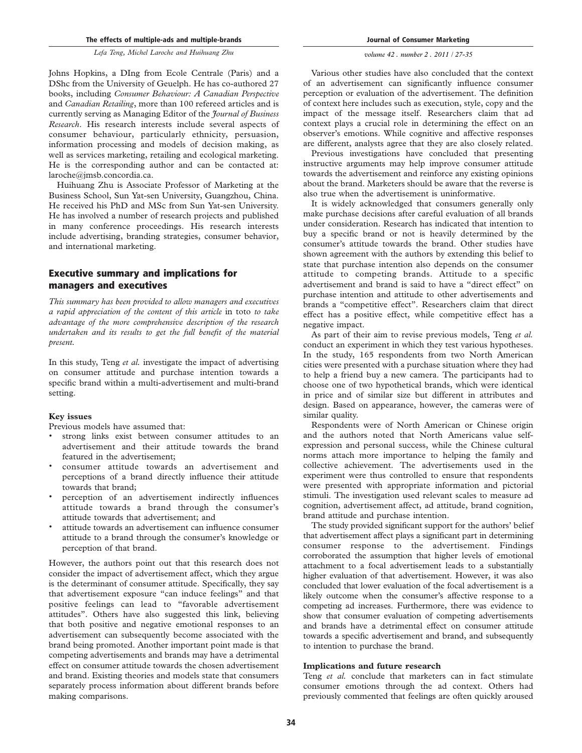Johns Hopkins, a DIng from Ecole Centrale (Paris) and a DShc from the University of Geuelph. He has co-authored 27 books, including Consumer Behaviour: A Canadian Perspective and Canadian Retailing, more than 100 refereed articles and is currently serving as Managing Editor of the *Journal of Business* Research. His research interests include several aspects of consumer behaviour, particularly ethnicity, persuasion, information processing and models of decision making, as well as services marketing, retailing and ecological marketing. He is the corresponding author and can be contacted at: laroche@jmsb.concordia.ca.

Huihuang Zhu is Associate Professor of Marketing at the Business School, Sun Yat-sen University, Guangzhou, China. He received his PhD and MSc from Sun Yat-sen University. He has involved a number of research projects and published in many conference proceedings. His research interests include advertising, branding strategies, consumer behavior, and international marketing.

# Executive summary and implications for managers and executives

This summary has been provided to allow managers and executives a rapid appreciation of the content of this article in toto to take advantage of the more comprehensive description of the research undertaken and its results to get the full benefit of the material present.

In this study, Teng et al. investigate the impact of advertising on consumer attitude and purchase intention towards a specific brand within a multi-advertisement and multi-brand setting.

## Key issues

Previous models have assumed that:

- . strong links exist between consumer attitudes to an advertisement and their attitude towards the brand featured in the advertisement;
- . consumer attitude towards an advertisement and perceptions of a brand directly influence their attitude towards that brand;
- . perception of an advertisement indirectly influences attitude towards a brand through the consumer's attitude towards that advertisement; and
- . attitude towards an advertisement can influence consumer attitude to a brand through the consumer's knowledge or perception of that brand.

However, the authors point out that this research does not consider the impact of advertisement affect, which they argue is the determinant of consumer attitude. Specifically, they say that advertisement exposure "can induce feelings" and that positive feelings can lead to "favorable advertisement attitudes". Others have also suggested this link, believing that both positive and negative emotional responses to an advertisement can subsequently become associated with the brand being promoted. Another important point made is that competing advertisements and brands may have a detrimental effect on consumer attitude towards the chosen advertisement and brand. Existing theories and models state that consumers separately process information about different brands before making comparisons.

volume 42 . number 2 . 2011 / 27-35

Various other studies have also concluded that the context of an advertisement can significantly influence consumer perception or evaluation of the advertisement. The definition of context here includes such as execution, style, copy and the impact of the message itself. Researchers claim that ad context plays a crucial role in determining the effect on an observer's emotions. While cognitive and affective responses are different, analysts agree that they are also closely related.

Previous investigations have concluded that presenting instructive arguments may help improve consumer attitude towards the advertisement and reinforce any existing opinions about the brand. Marketers should be aware that the reverse is also true when the advertisement is uninformative.

It is widely acknowledged that consumers generally only make purchase decisions after careful evaluation of all brands under consideration. Research has indicated that intention to buy a specific brand or not is heavily determined by the consumer's attitude towards the brand. Other studies have shown agreement with the authors by extending this belief to state that purchase intention also depends on the consumer attitude to competing brands. Attitude to a specific advertisement and brand is said to have a "direct effect" on purchase intention and attitude to other advertisements and brands a "competitive effect". Researchers claim that direct effect has a positive effect, while competitive effect has a negative impact.

As part of their aim to revise previous models, Teng et al. conduct an experiment in which they test various hypotheses. In the study, 165 respondents from two North American cities were presented with a purchase situation where they had to help a friend buy a new camera. The participants had to choose one of two hypothetical brands, which were identical in price and of similar size but different in attributes and design. Based on appearance, however, the cameras were of similar quality.

Respondents were of North American or Chinese origin and the authors noted that North Americans value selfexpression and personal success, while the Chinese cultural norms attach more importance to helping the family and collective achievement. The advertisements used in the experiment were thus controlled to ensure that respondents were presented with appropriate information and pictorial stimuli. The investigation used relevant scales to measure ad cognition, advertisement affect, ad attitude, brand cognition, brand attitude and purchase intention.

The study provided significant support for the authors' belief that advertisement affect plays a significant part in determining consumer response to the advertisement. Findings corroborated the assumption that higher levels of emotional attachment to a focal advertisement leads to a substantially higher evaluation of that advertisement. However, it was also concluded that lower evaluation of the focal advertisement is a likely outcome when the consumer's affective response to a competing ad increases. Furthermore, there was evidence to show that consumer evaluation of competing advertisements and brands have a detrimental effect on consumer attitude towards a specific advertisement and brand, and subsequently to intention to purchase the brand.

### Implications and future research

Teng et al. conclude that marketers can in fact stimulate consumer emotions through the ad context. Others had previously commented that feelings are often quickly aroused